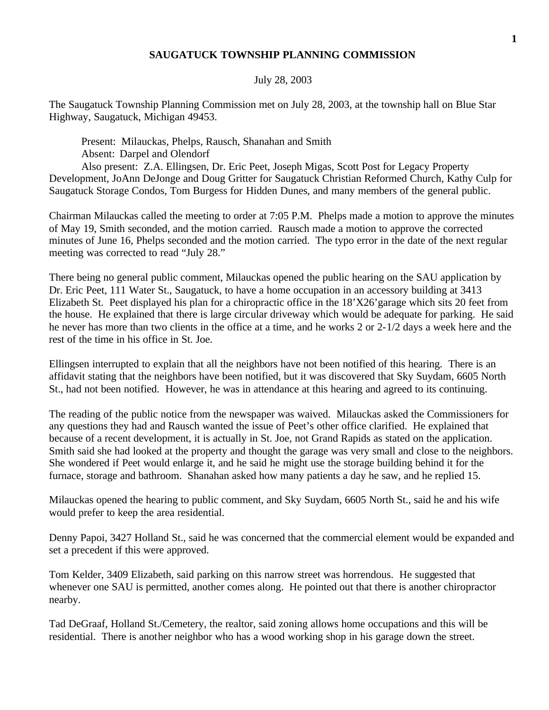## **SAUGATUCK TOWNSHIP PLANNING COMMISSION**

## July 28, 2003

The Saugatuck Township Planning Commission met on July 28, 2003, at the township hall on Blue Star Highway, Saugatuck, Michigan 49453.

Present: Milauckas, Phelps, Rausch, Shanahan and Smith Absent: Darpel and Olendorf

Also present: Z.A. Ellingsen, Dr. Eric Peet, Joseph Migas, Scott Post for Legacy Property Development, JoAnn DeJonge and Doug Gritter for Saugatuck Christian Reformed Church, Kathy Culp for Saugatuck Storage Condos, Tom Burgess for Hidden Dunes, and many members of the general public.

Chairman Milauckas called the meeting to order at 7:05 P.M. Phelps made a motion to approve the minutes of May 19, Smith seconded, and the motion carried. Rausch made a motion to approve the corrected minutes of June 16, Phelps seconded and the motion carried. The typo error in the date of the next regular meeting was corrected to read "July 28."

There being no general public comment, Milauckas opened the public hearing on the SAU application by Dr. Eric Peet, 111 Water St., Saugatuck, to have a home occupation in an accessory building at 3413 Elizabeth St. Peet displayed his plan for a chiropractic office in the 18'X26'garage which sits 20 feet from the house. He explained that there is large circular driveway which would be adequate for parking. He said he never has more than two clients in the office at a time, and he works 2 or 2-1/2 days a week here and the rest of the time in his office in St. Joe.

Ellingsen interrupted to explain that all the neighbors have not been notified of this hearing. There is an affidavit stating that the neighbors have been notified, but it was discovered that Sky Suydam, 6605 North St., had not been notified. However, he was in attendance at this hearing and agreed to its continuing.

The reading of the public notice from the newspaper was waived. Milauckas asked the Commissioners for any questions they had and Rausch wanted the issue of Peet's other office clarified. He explained that because of a recent development, it is actually in St. Joe, not Grand Rapids as stated on the application. Smith said she had looked at the property and thought the garage was very small and close to the neighbors. She wondered if Peet would enlarge it, and he said he might use the storage building behind it for the furnace, storage and bathroom. Shanahan asked how many patients a day he saw, and he replied 15.

Milauckas opened the hearing to public comment, and Sky Suydam, 6605 North St., said he and his wife would prefer to keep the area residential.

Denny Papoi, 3427 Holland St., said he was concerned that the commercial element would be expanded and set a precedent if this were approved.

Tom Kelder, 3409 Elizabeth, said parking on this narrow street was horrendous. He suggested that whenever one SAU is permitted, another comes along. He pointed out that there is another chiropractor nearby.

Tad DeGraaf, Holland St./Cemetery, the realtor, said zoning allows home occupations and this will be residential. There is another neighbor who has a wood working shop in his garage down the street.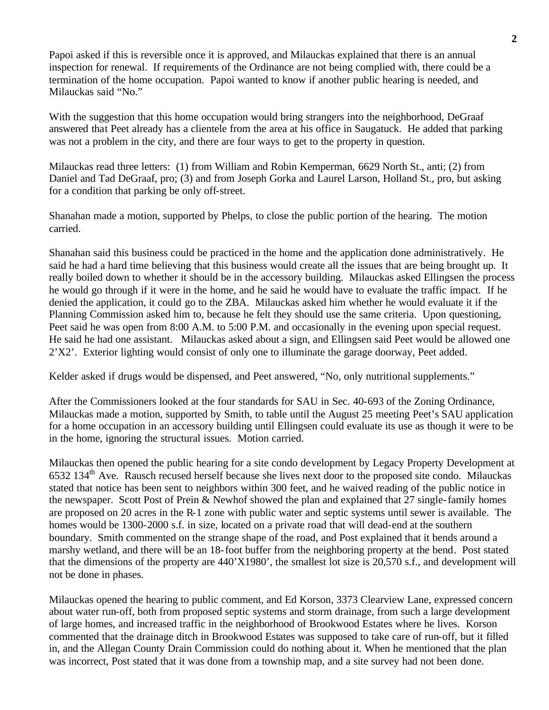Papoi asked if this is reversible once it is approved, and Milauckas explained that there is an annual inspection for renewal. If requirements of the Ordinance are not being complied with, there could be a termination of the home occupation. Papoi wanted to know if another public hearing is needed, and Milauckas said "No."

With the suggestion that this home occupation would bring strangers into the neighborhood, DeGraaf answered that Peet already has a clientele from the area at his office in Saugatuck. He added that parking was not a problem in the city, and there are four ways to get to the property in question.

Milauckas read three letters: (1) from William and Robin Kemperman, 6629 North St., anti; (2) from Daniel and Tad DeGraaf, pro; (3) and from Joseph Gorka and Laurel Larson, Holland St., pro, but asking for a condition that parking be only off-street.

Shanahan made a motion, supported by Phelps, to close the public portion of the hearing. The motion carried.

Shanahan said this business could be practiced in the home and the application done administratively. He said he had a hard time believing that this business would create all the issues that are being brought up. It really boiled down to whether it should be in the accessory building. Milauckas asked Ellingsen the process he would go through if it were in the home, and he said he would have to evaluate the traffic impact. If he denied the application, it could go to the ZBA. Milauckas asked him whether he would evaluate it if the Planning Commission asked him to, because he felt they should use the same criteria. Upon questioning, Peet said he was open from 8:00 A.M. to 5:00 P.M. and occasionally in the evening upon special request. He said he had one assistant. Milauckas asked about a sign, and Ellingsen said Peet would be allowed one 2'X2'. Exterior lighting would consist of only one to illuminate the garage doorway, Peet added.

Kelder asked if drugs would be dispensed, and Peet answered, "No, only nutritional supplements."

After the Commissioners looked at the four standards for SAU in Sec. 40-693 of the Zoning Ordinance, Milauckas made a motion, supported by Smith, to table until the August 25 meeting Peet's SAU application for a home occupation in an accessory building until Ellingsen could evaluate its use as though it were to be in the home, ignoring the structural issues. Motion carried.

Milauckas then opened the public hearing for a site condo development by Legacy Property Development at  $6532$  134<sup>th</sup> Ave. Rausch recused herself because she lives next door to the proposed site condo. Milauckas stated that notice has been sent to neighbors within 300 feet, and he waived reading of the public notice in the newspaper. Scott Post of Prein & Newhof showed the plan and explained that 27 single-family homes are proposed on 20 acres in the R-1 zone with public water and septic systems until sewer is available. The homes would be 1300-2000 s.f. in size, located on a private road that will dead-end at the southern boundary. Smith commented on the strange shape of the road, and Post explained that it bends around a marshy wetland, and there will be an 18-foot buffer from the neighboring property at the bend. Post stated that the dimensions of the property are 440'X1980', the smallest lot size is 20,570 s.f., and development will not be done in phases.

Milauckas opened the hearing to public comment, and Ed Korson, 3373 Clearview Lane, expressed concern about water run-off, both from proposed septic systems and storm drainage, from such a large development of large homes, and increased traffic in the neighborhood of Brookwood Estates where he lives. Korson commented that the drainage ditch in Brookwood Estates was supposed to take care of run-off, but it filled in, and the Allegan County Drain Commission could do nothing about it. When he mentioned that the plan was incorrect, Post stated that it was done from a township map, and a site survey had not been done.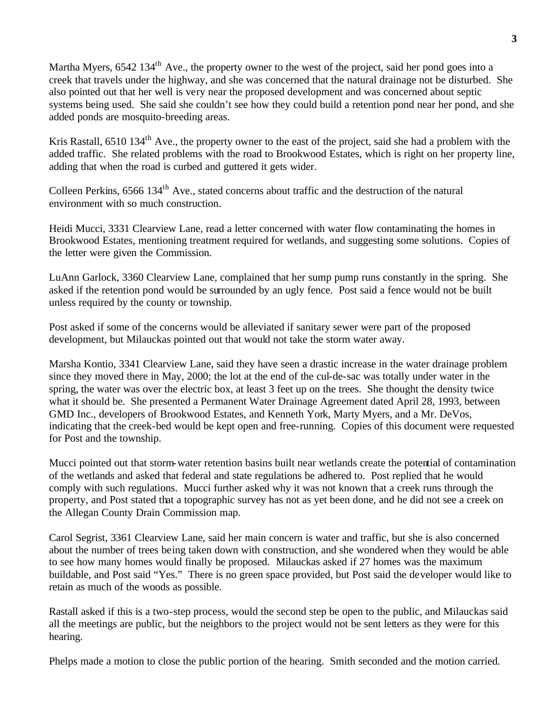Martha Myers, 6542 134<sup>th</sup> Ave., the property owner to the west of the project, said her pond goes into a creek that travels under the highway, and she was concerned that the natural drainage not be disturbed. She also pointed out that her well is very near the proposed development and was concerned about septic systems being used. She said she couldn't see how they could build a retention pond near her pond, and she added ponds are mosquito-breeding areas.

Kris Rastall, 6510 134<sup>th</sup> Ave., the property owner to the east of the project, said she had a problem with the added traffic. She related problems with the road to Brookwood Estates, which is right on her property line, adding that when the road is curbed and guttered it gets wider.

Colleen Perkins, 6566 134<sup>th</sup> Ave., stated concerns about traffic and the destruction of the natural environment with so much construction.

Heidi Mucci, 3331 Clearview Lane, read a letter concerned with water flow contaminating the homes in Brookwood Estates, mentioning treatment required for wetlands, and suggesting some solutions. Copies of the letter were given the Commission.

LuAnn Garlock, 3360 Clearview Lane, complained that her sump pump runs constantly in the spring. She asked if the retention pond would be surrounded by an ugly fence. Post said a fence would not be built unless required by the county or township.

Post asked if some of the concerns would be alleviated if sanitary sewer were part of the proposed development, but Milauckas pointed out that would not take the storm water away.

Marsha Kontio, 3341 Clearview Lane, said they have seen a drastic increase in the water drainage problem since they moved there in May, 2000; the lot at the end of the cul-de-sac was totally under water in the spring, the water was over the electric box, at least 3 feet up on the trees. She thought the density twice what it should be. She presented a Permanent Water Drainage Agreement dated April 28, 1993, between GMD Inc., developers of Brookwood Estates, and Kenneth York, Marty Myers, and a Mr. DeVos, indicating that the creek-bed would be kept open and free-running. Copies of this document were requested for Post and the township.

Mucci pointed out that storm-water retention basins built near wetlands create the potential of contamination of the wetlands and asked that federal and state regulations be adhered to. Post replied that he would comply with such regulations. Mucci further asked why it was not known that a creek runs through the property, and Post stated that a topographic survey has not as yet been done, and he did not see a creek on the Allegan County Drain Commission map.

Carol Segrist, 3361 Clearview Lane, said her main concern is water and traffic, but she is also concerned about the number of trees being taken down with construction, and she wondered when they would be able to see how many homes would finally be proposed. Milauckas asked if 27 homes was the maximum buildable, and Post said "Yes." There is no green space provided, but Post said the developer would like to retain as much of the woods as possible.

Rastall asked if this is a two-step process, would the second step be open to the public, and Milauckas said all the meetings are public, but the neighbors to the project would not be sent letters as they were for this hearing.

Phelps made a motion to close the public portion of the hearing. Smith seconded and the motion carried.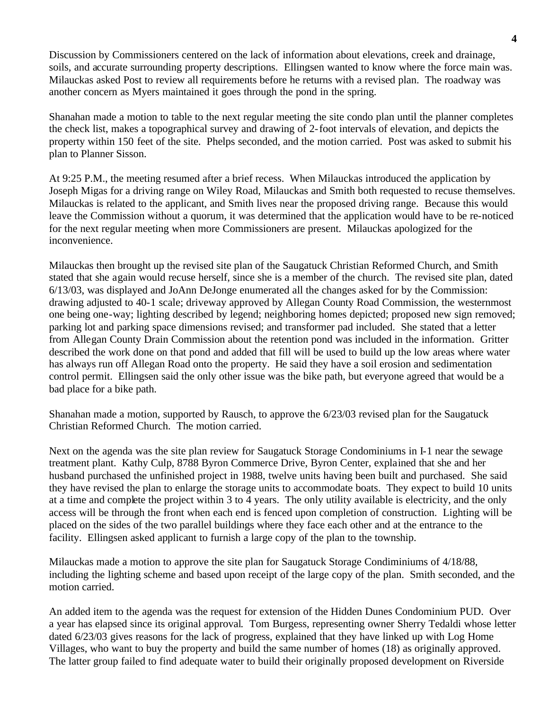Discussion by Commissioners centered on the lack of information about elevations, creek and drainage, soils, and accurate surrounding property descriptions. Ellingsen wanted to know where the force main was. Milauckas asked Post to review all requirements before he returns with a revised plan. The roadway was another concern as Myers maintained it goes through the pond in the spring.

Shanahan made a motion to table to the next regular meeting the site condo plan until the planner completes the check list, makes a topographical survey and drawing of 2-foot intervals of elevation, and depicts the property within 150 feet of the site. Phelps seconded, and the motion carried. Post was asked to submit his plan to Planner Sisson.

At 9:25 P.M., the meeting resumed after a brief recess. When Milauckas introduced the application by Joseph Migas for a driving range on Wiley Road, Milauckas and Smith both requested to recuse themselves. Milauckas is related to the applicant, and Smith lives near the proposed driving range. Because this would leave the Commission without a quorum, it was determined that the application would have to be re-noticed for the next regular meeting when more Commissioners are present. Milauckas apologized for the inconvenience.

Milauckas then brought up the revised site plan of the Saugatuck Christian Reformed Church, and Smith stated that she again would recuse herself, since she is a member of the church. The revised site plan, dated 6/13/03, was displayed and JoAnn DeJonge enumerated all the changes asked for by the Commission: drawing adjusted to 40-1 scale; driveway approved by Allegan County Road Commission, the westernmost one being one-way; lighting described by legend; neighboring homes depicted; proposed new sign removed; parking lot and parking space dimensions revised; and transformer pad included. She stated that a letter from Allegan County Drain Commission about the retention pond was included in the information. Gritter described the work done on that pond and added that fill will be used to build up the low areas where water has always run off Allegan Road onto the property. He said they have a soil erosion and sedimentation control permit. Ellingsen said the only other issue was the bike path, but everyone agreed that would be a bad place for a bike path.

Shanahan made a motion, supported by Rausch, to approve the 6/23/03 revised plan for the Saugatuck Christian Reformed Church. The motion carried.

Next on the agenda was the site plan review for Saugatuck Storage Condominiums in I-1 near the sewage treatment plant. Kathy Culp, 8788 Byron Commerce Drive, Byron Center, explained that she and her husband purchased the unfinished project in 1988, twelve units having been built and purchased. She said they have revised the plan to enlarge the storage units to accommodate boats. They expect to build 10 units at a time and complete the project within 3 to 4 years. The only utility available is electricity, and the only access will be through the front when each end is fenced upon completion of construction. Lighting will be placed on the sides of the two parallel buildings where they face each other and at the entrance to the facility. Ellingsen asked applicant to furnish a large copy of the plan to the township.

Milauckas made a motion to approve the site plan for Saugatuck Storage Condiminiums of 4/18/88, including the lighting scheme and based upon receipt of the large copy of the plan. Smith seconded, and the motion carried.

An added item to the agenda was the request for extension of the Hidden Dunes Condominium PUD. Over a year has elapsed since its original approval. Tom Burgess, representing owner Sherry Tedaldi whose letter dated 6/23/03 gives reasons for the lack of progress, explained that they have linked up with Log Home Villages, who want to buy the property and build the same number of homes (18) as originally approved. The latter group failed to find adequate water to build their originally proposed development on Riverside